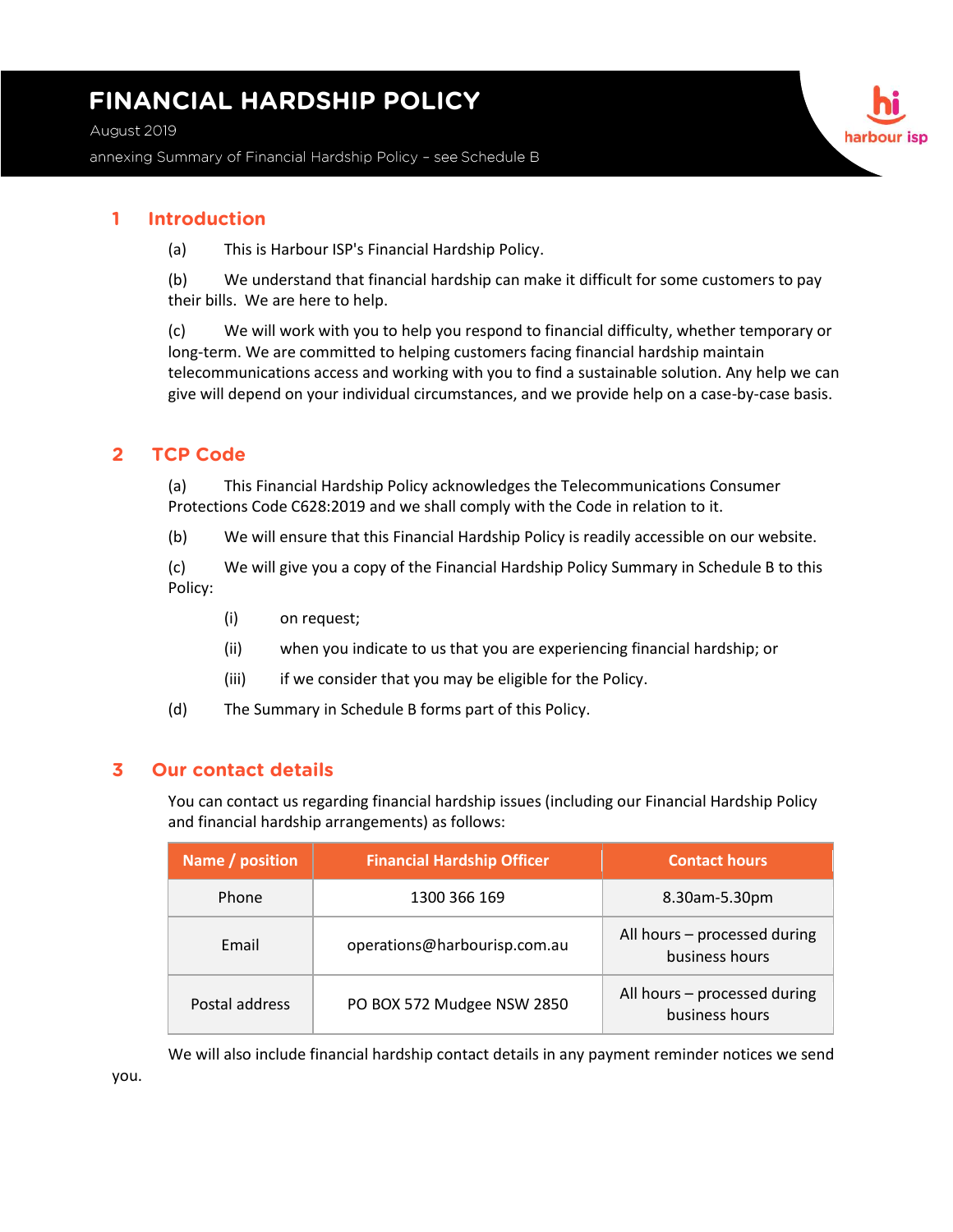# **FINANCIAL HARDSHIP POLICY**

August 2019

annexing Summary of Financial Hardship Policy - see Schedule B

### **1 Introduction**

(a) This is Harbour ISP's Financial Hardship Policy.

(b) We understand that financial hardship can make it difficult for some customers to pay their bills. We are here to help.

(c) We will work with you to help you respond to financial difficulty, whether temporary or long-term. We are committed to helping customers facing financial hardship maintain telecommunications access and working with you to find a sustainable solution. Any help we can give will depend on your individual circumstances, and we provide help on a case-by-case basis.

### **2 TCP Code**

(a) This Financial Hardship Policy acknowledges the Telecommunications Consumer Protections Code C628:2019 and we shall comply with the Code in relation to it.

(b) We will ensure that this Financial Hardship Policy is readily accessible on our website.

(c) We will give you a copy of the Financial Hardship Policy Summary in Schedule B to this Policy:

- (i) on request;
- (ii) when you indicate to us that you are experiencing financial hardship; or
- (iii) if we consider that you may be eligible for the Policy.
- (d) The Summary in Schedule B forms part of this Policy.

### **3 Our contact details**

You can contact us regarding financial hardship issues (including our Financial Hardship Policy and financial hardship arrangements) as follows:

| Name / position | <b>Financial Hardship Officer</b> | <b>Contact hours</b>                           |
|-----------------|-----------------------------------|------------------------------------------------|
| Phone           | 1300 366 169                      | 8.30am-5.30pm                                  |
| Email           | operations@harbourisp.com.au      | All hours - processed during<br>business hours |
| Postal address  | PO BOX 572 Mudgee NSW 2850        | All hours - processed during<br>business hours |

We will also include financial hardship contact details in any payment reminder notices we send you.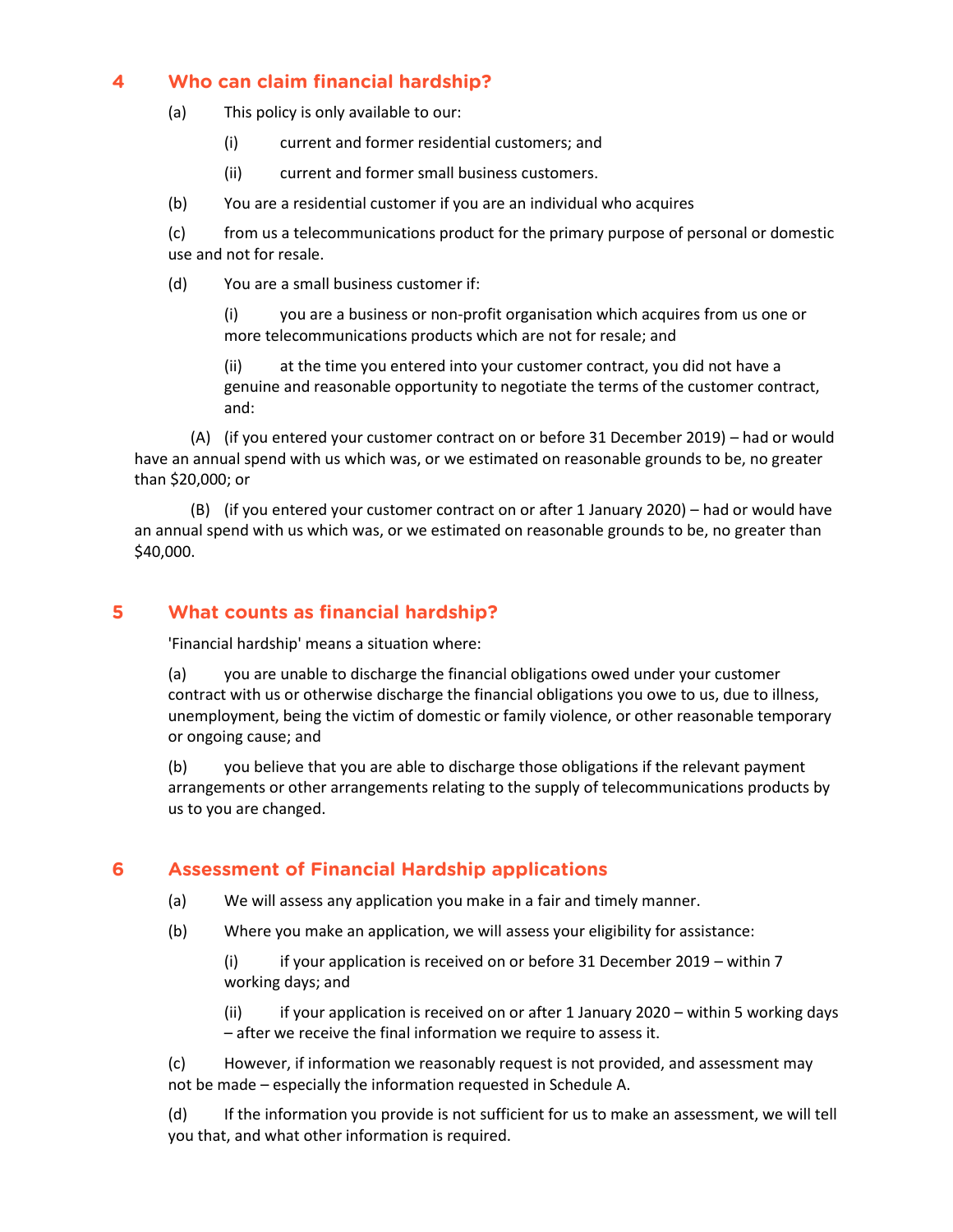# **4 Who can claim financial hardship?**

- (a) This policy is only available to our:
	- (i) current and former residential customers; and
	- (ii) current and former small business customers.
- (b) You are a residential customer if you are an individual who acquires

(c) from us a telecommunications product for the primary purpose of personal or domestic use and not for resale.

(d) You are a small business customer if:

(i) you are a business or non-profit organisation which acquires from us one or more telecommunications products which are not for resale; and

(ii) at the time you entered into your customer contract, you did not have a genuine and reasonable opportunity to negotiate the terms of the customer contract, and:

(A) (if you entered your customer contract on or before 31 December 2019) – had or would have an annual spend with us which was, or we estimated on reasonable grounds to be, no greater than \$20,000; or

(B) (if you entered your customer contract on or after 1 January 2020) – had or would have an annual spend with us which was, or we estimated on reasonable grounds to be, no greater than \$40,000.

# **5 What counts as financial hardship?**

'Financial hardship' means a situation where:

(a) you are unable to discharge the financial obligations owed under your customer contract with us or otherwise discharge the financial obligations you owe to us, due to illness, unemployment, being the victim of domestic or family violence, or other reasonable temporary or ongoing cause; and

(b) you believe that you are able to discharge those obligations if the relevant payment arrangements or other arrangements relating to the supply of telecommunications products by us to you are changed.

# **6 Assessment of Financial Hardship applications**

- (a) We will assess any application you make in a fair and timely manner.
- (b) Where you make an application, we will assess your eligibility for assistance:

(i) if your application is received on or before 31 December 2019 – within 7 working days; and

(ii) if your application is received on or after 1 January 2020 – within 5 working days – after we receive the final information we require to assess it.

(c) However, if information we reasonably request is not provided, and assessment may not be made – especially the information requested in Schedule A.

(d) If the information you provide is not sufficient for us to make an assessment, we will tell you that, and what other information is required.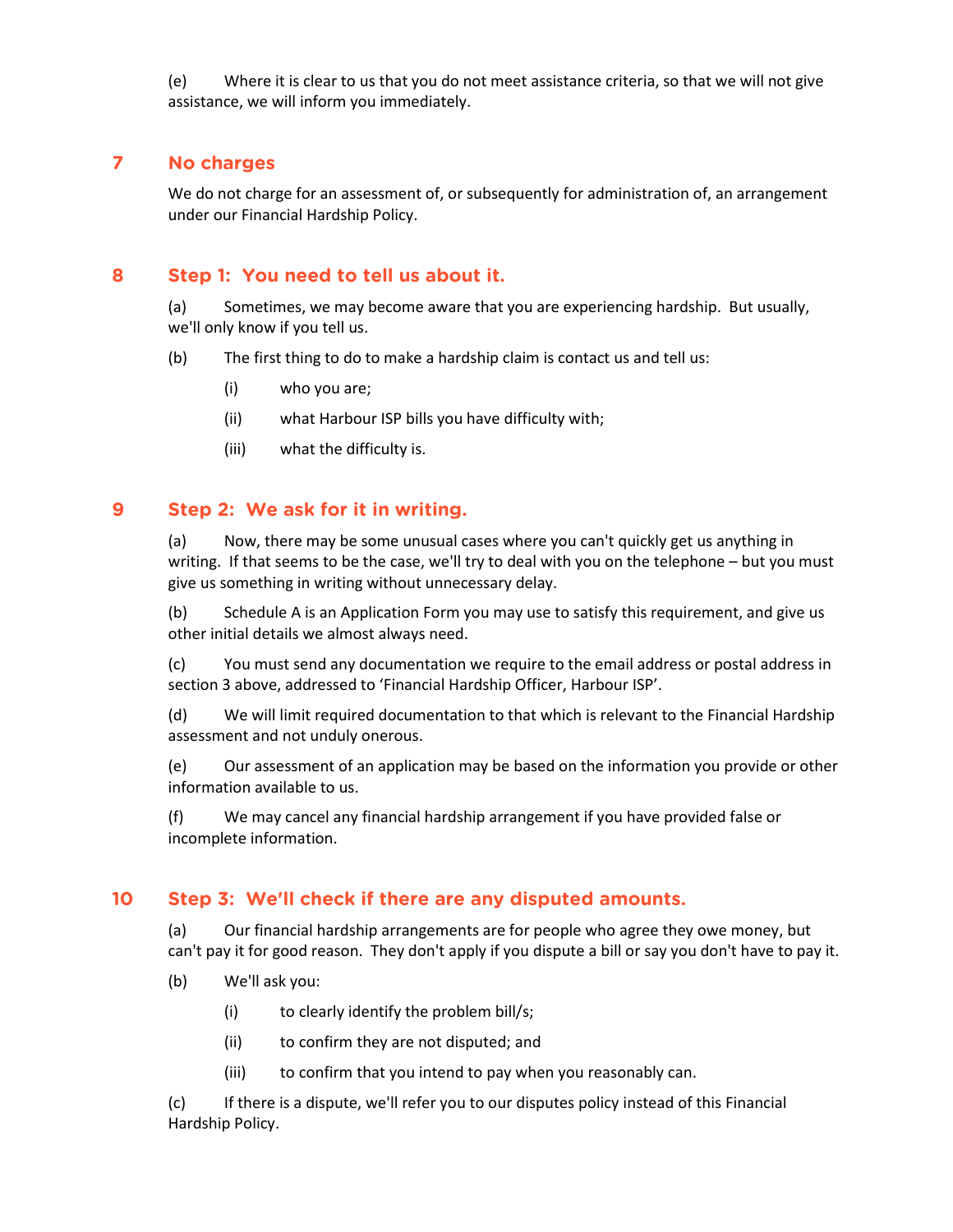(e) Where it is clear to us that you do not meet assistance criteria, so that we will not give assistance, we will inform you immediately.

### **7 No charges**

We do not charge for an assessment of, or subsequently for administration of, an arrangement under our Financial Hardship Policy.

# **8 Step 1: You need to tell us about it.**

(a) Sometimes, we may become aware that you are experiencing hardship. But usually, we'll only know if you tell us.

- (b) The first thing to do to make a hardship claim is contact us and tell us:
	- (i) who you are;
	- (ii) what Harbour ISP bills you have difficulty with;
	- (iii) what the difficulty is.

### **9 Step 2: We ask for it in writing.**

(a) Now, there may be some unusual cases where you can't quickly get us anything in writing. If that seems to be the case, we'll try to deal with you on the telephone – but you must give us something in writing without unnecessary delay.

(b) Schedule A is an Application Form you may use to satisfy this requirement, and give us other initial details we almost always need.

(c) You must send any documentation we require to the email address or postal address in section 3 above, addressed to 'Financial Hardship Officer, Harbour ISP'.

(d) We will limit required documentation to that which is relevant to the Financial Hardship assessment and not unduly onerous.

(e) Our assessment of an application may be based on the information you provide or other information available to us.

(f) We may cancel any financial hardship arrangement if you have provided false or incomplete information.

# **10 Step 3: We'll check if there are any disputed amounts.**

(a) Our financial hardship arrangements are for people who agree they owe money, but can't pay it for good reason. They don't apply if you dispute a bill or say you don't have to pay it.

- (b) We'll ask you:
	- (i) to clearly identify the problem bill/s;
	- (ii) to confirm they are not disputed; and
	- (iii) to confirm that you intend to pay when you reasonably can.

(c) If there is a dispute, we'll refer you to our disputes policy instead of this Financial Hardship Policy.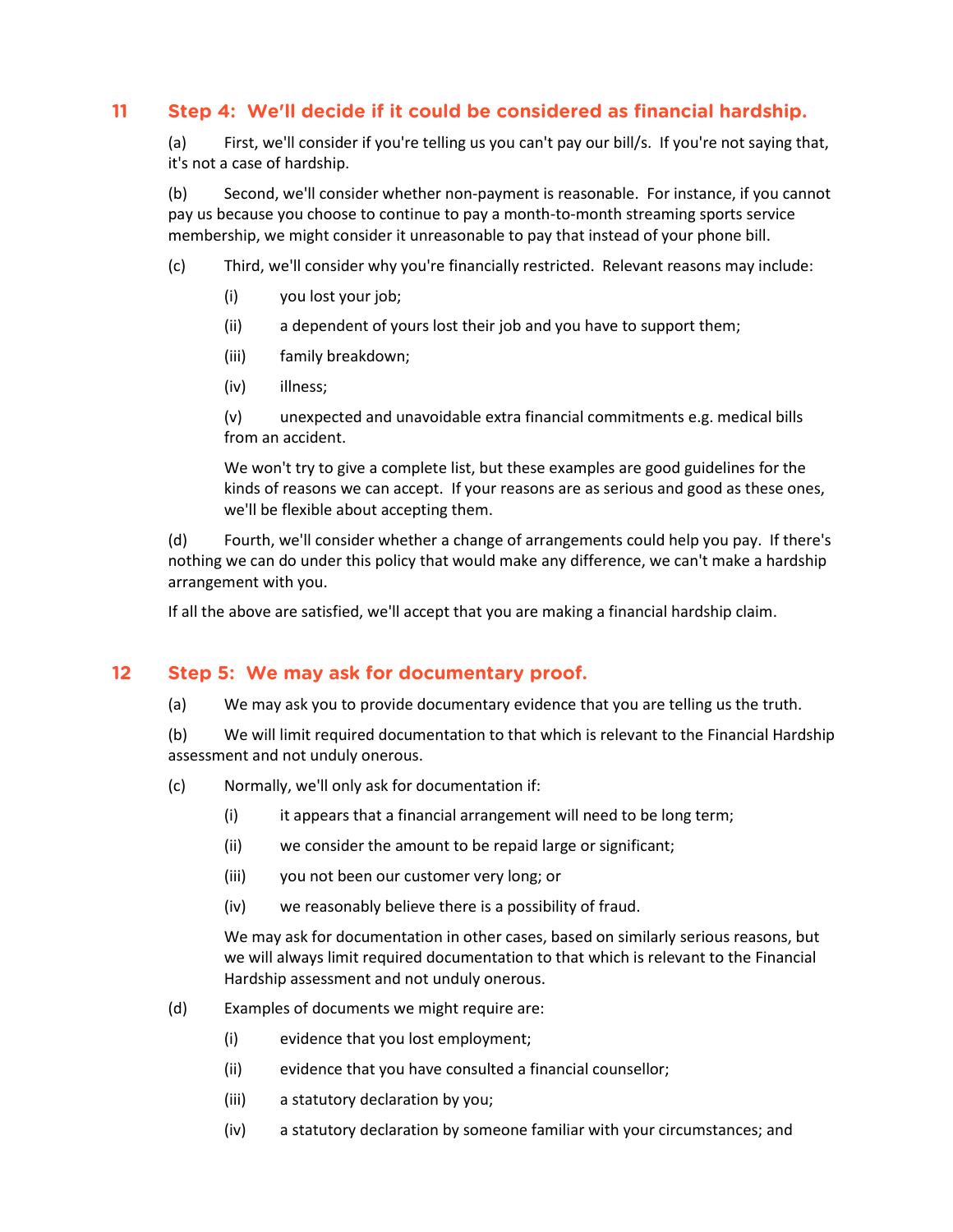# **11 Step 4: We'll decide if it could be considered as financial hardship.**

(a) First, we'll consider if you're telling us you can't pay our bill/s. If you're not saying that, it's not a case of hardship.

(b) Second, we'll consider whether non-payment is reasonable. For instance, if you cannot pay us because you choose to continue to pay a month-to-month streaming sports service membership, we might consider it unreasonable to pay that instead of your phone bill.

- (c) Third, we'll consider why you're financially restricted. Relevant reasons may include:
	- (i) you lost your job;
	- (ii) a dependent of yours lost their job and you have to support them;
	- (iii) family breakdown;
	- (iv) illness;

(v) unexpected and unavoidable extra financial commitments e.g. medical bills from an accident.

We won't try to give a complete list, but these examples are good guidelines for the kinds of reasons we can accept. If your reasons are as serious and good as these ones, we'll be flexible about accepting them.

(d) Fourth, we'll consider whether a change of arrangements could help you pay. If there's nothing we can do under this policy that would make any difference, we can't make a hardship arrangement with you.

If all the above are satisfied, we'll accept that you are making a financial hardship claim.

# **12 Step 5: We may ask for documentary proof.**

(a) We may ask you to provide documentary evidence that you are telling us the truth.

(b) We will limit required documentation to that which is relevant to the Financial Hardship assessment and not unduly onerous.

- (c) Normally, we'll only ask for documentation if:
	- (i) it appears that a financial arrangement will need to be long term;
	- (ii) we consider the amount to be repaid large or significant;
	- (iii) you not been our customer very long; or
	- (iv) we reasonably believe there is a possibility of fraud.

We may ask for documentation in other cases, based on similarly serious reasons, but we will always limit required documentation to that which is relevant to the Financial Hardship assessment and not unduly onerous.

- (d) Examples of documents we might require are:
	- (i) evidence that you lost employment;
	- (ii) evidence that you have consulted a financial counsellor;
	- (iii) a statutory declaration by you;
	- (iv) a statutory declaration by someone familiar with your circumstances; and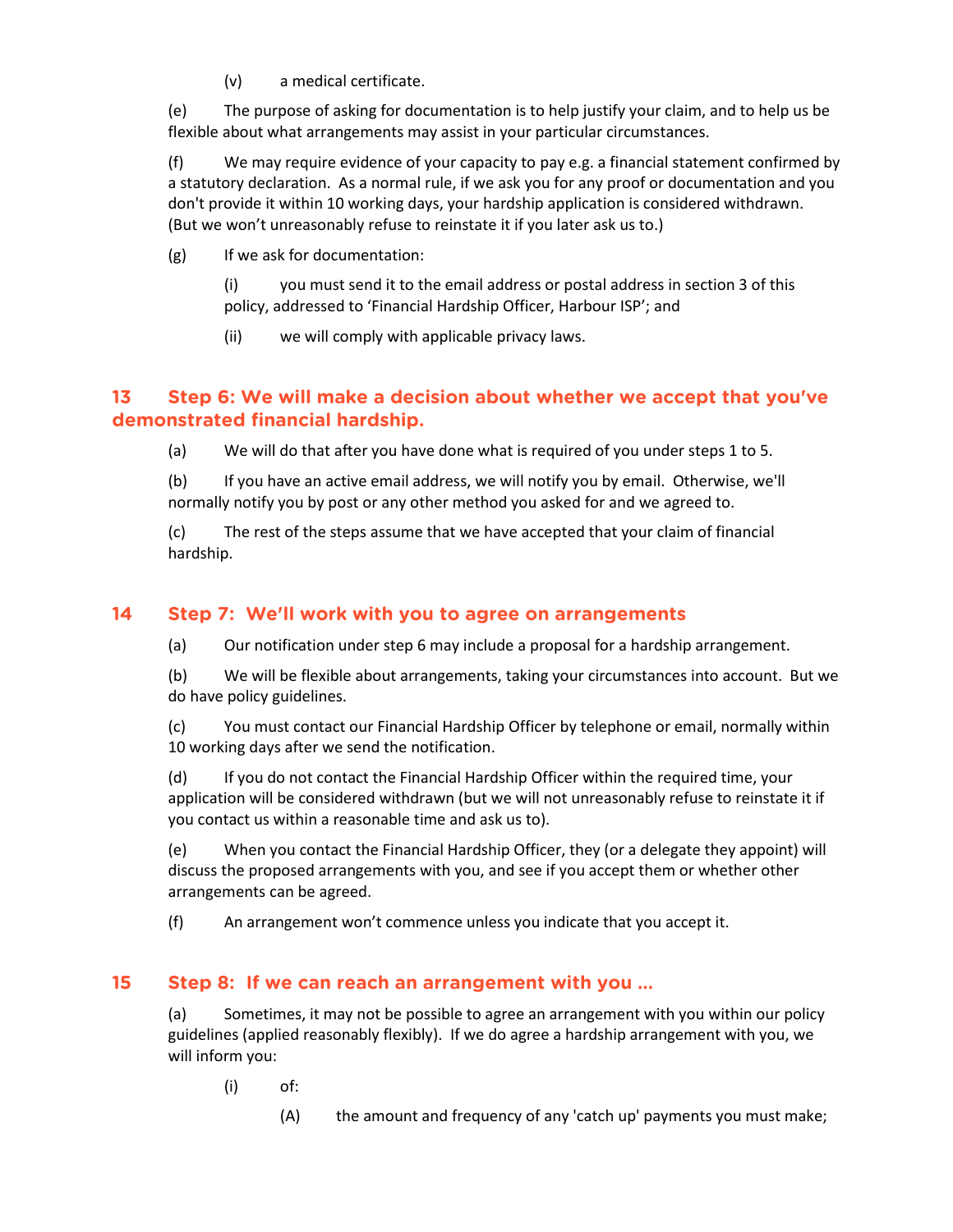(v) a medical certificate.

(e) The purpose of asking for documentation is to help justify your claim, and to help us be flexible about what arrangements may assist in your particular circumstances.

(f) We may require evidence of your capacity to pay e.g. a financial statement confirmed by a statutory declaration. As a normal rule, if we ask you for any proof or documentation and you don't provide it within 10 working days, your hardship application is considered withdrawn. (But we won't unreasonably refuse to reinstate it if you later ask us to.)

(g) If we ask for documentation:

(i) you must send it to the email address or postal address in section 3 of this policy, addressed to 'Financial Hardship Officer, Harbour ISP'; and

(ii) we will comply with applicable privacy laws.

# **13 Step 6: We will make a decision about whether we accept that you've demonstrated financial hardship.**

(a) We will do that after you have done what is required of you under steps 1 to 5.

(b) If you have an active email address, we will notify you by email. Otherwise, we'll normally notify you by post or any other method you asked for and we agreed to.

(c) The rest of the steps assume that we have accepted that your claim of financial hardship.

### **14 Step 7: We'll work with you to agree on arrangements**

(a) Our notification under step 6 may include a proposal for a hardship arrangement.

(b) We will be flexible about arrangements, taking your circumstances into account. But we do have policy guidelines.

(c) You must contact our Financial Hardship Officer by telephone or email, normally within 10 working days after we send the notification.

(d) If you do not contact the Financial Hardship Officer within the required time, your application will be considered withdrawn (but we will not unreasonably refuse to reinstate it if you contact us within a reasonable time and ask us to).

(e) When you contact the Financial Hardship Officer, they (or a delegate they appoint) will discuss the proposed arrangements with you, and see if you accept them or whether other arrangements can be agreed.

(f) An arrangement won't commence unless you indicate that you accept it.

# **15 Step 8: If we can reach an arrangement with you …**

(a) Sometimes, it may not be possible to agree an arrangement with you within our policy guidelines (applied reasonably flexibly). If we do agree a hardship arrangement with you, we will inform you:

- (i) of:
	- (A) the amount and frequency of any 'catch up' payments you must make;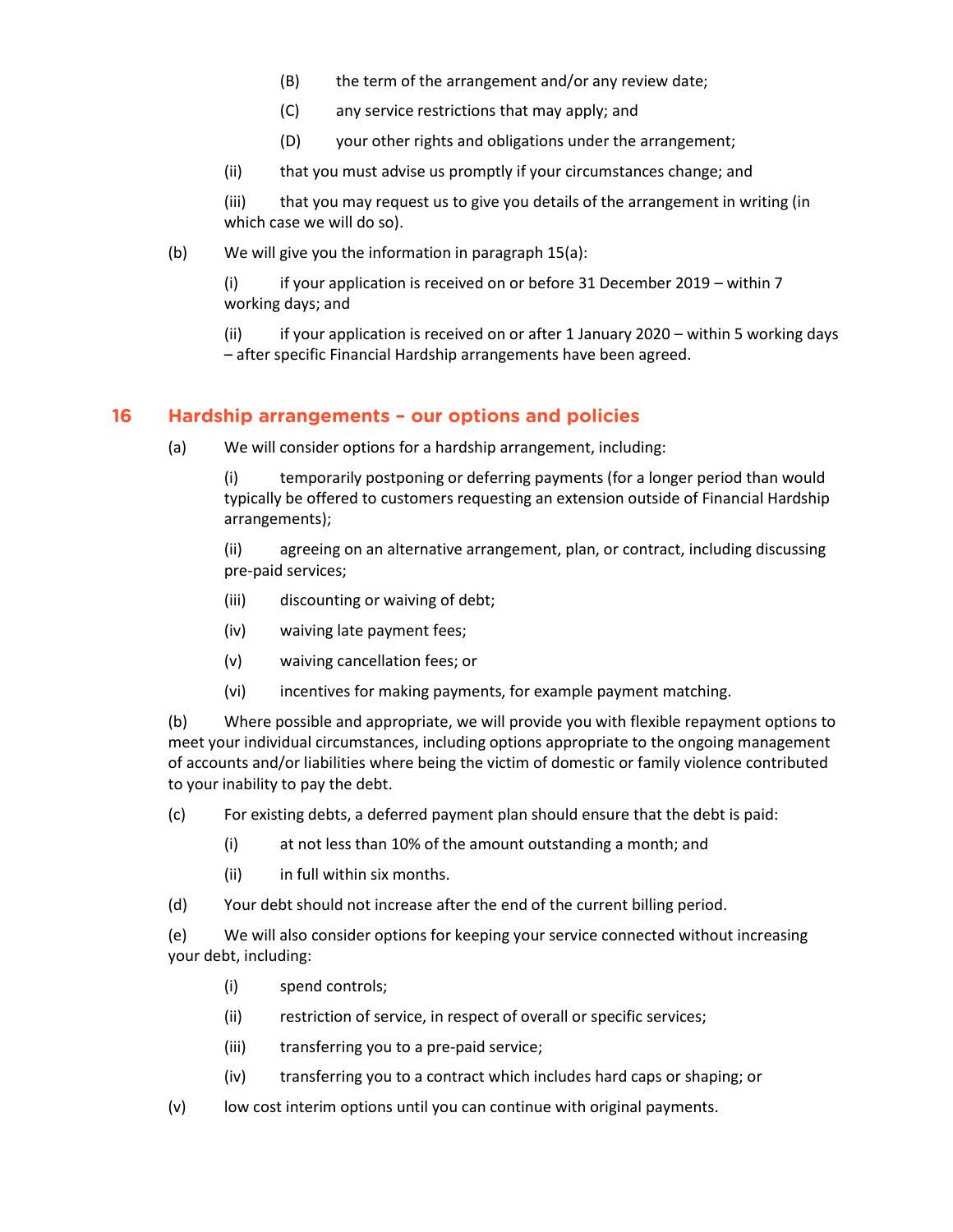- (B) the term of the arrangement and/or any review date;
- (C) any service restrictions that may apply; and
- (D) your other rights and obligations under the arrangement;
- (ii) that you must advise us promptly if your circumstances change; and

(iii) that you may request us to give you details of the arrangement in writing (in which case we will do so).

(b) We will give you the information in paragraph 15(a):

(i) if your application is received on or before 31 December 2019 – within 7 working days; and

(ii) if your application is received on or after 1 January 2020 – within 5 working days – after specific Financial Hardship arrangements have been agreed.

### **16 Hardship arrangements – our options and policies**

(a) We will consider options for a hardship arrangement, including:

(i) temporarily postponing or deferring payments (for a longer period than would typically be offered to customers requesting an extension outside of Financial Hardship arrangements);

(ii) agreeing on an alternative arrangement, plan, or contract, including discussing pre-paid services;

- (iii) discounting or waiving of debt;
- (iv) waiving late payment fees;
- (v) waiving cancellation fees; or
- (vi) incentives for making payments, for example payment matching.

(b) Where possible and appropriate, we will provide you with flexible repayment options to meet your individual circumstances, including options appropriate to the ongoing management of accounts and/or liabilities where being the victim of domestic or family violence contributed to your inability to pay the debt.

- (c) For existing debts, a deferred payment plan should ensure that the debt is paid:
	- (i) at not less than 10% of the amount outstanding a month; and
	- (ii) in full within six months.
- (d) Your debt should not increase after the end of the current billing period.

(e) We will also consider options for keeping your service connected without increasing your debt, including:

- (i) spend controls;
- (ii) restriction of service, in respect of overall or specific services;
- (iii) transferring you to a pre-paid service;
- (iv) transferring you to a contract which includes hard caps or shaping; or
- (v) low cost interim options until you can continue with original payments.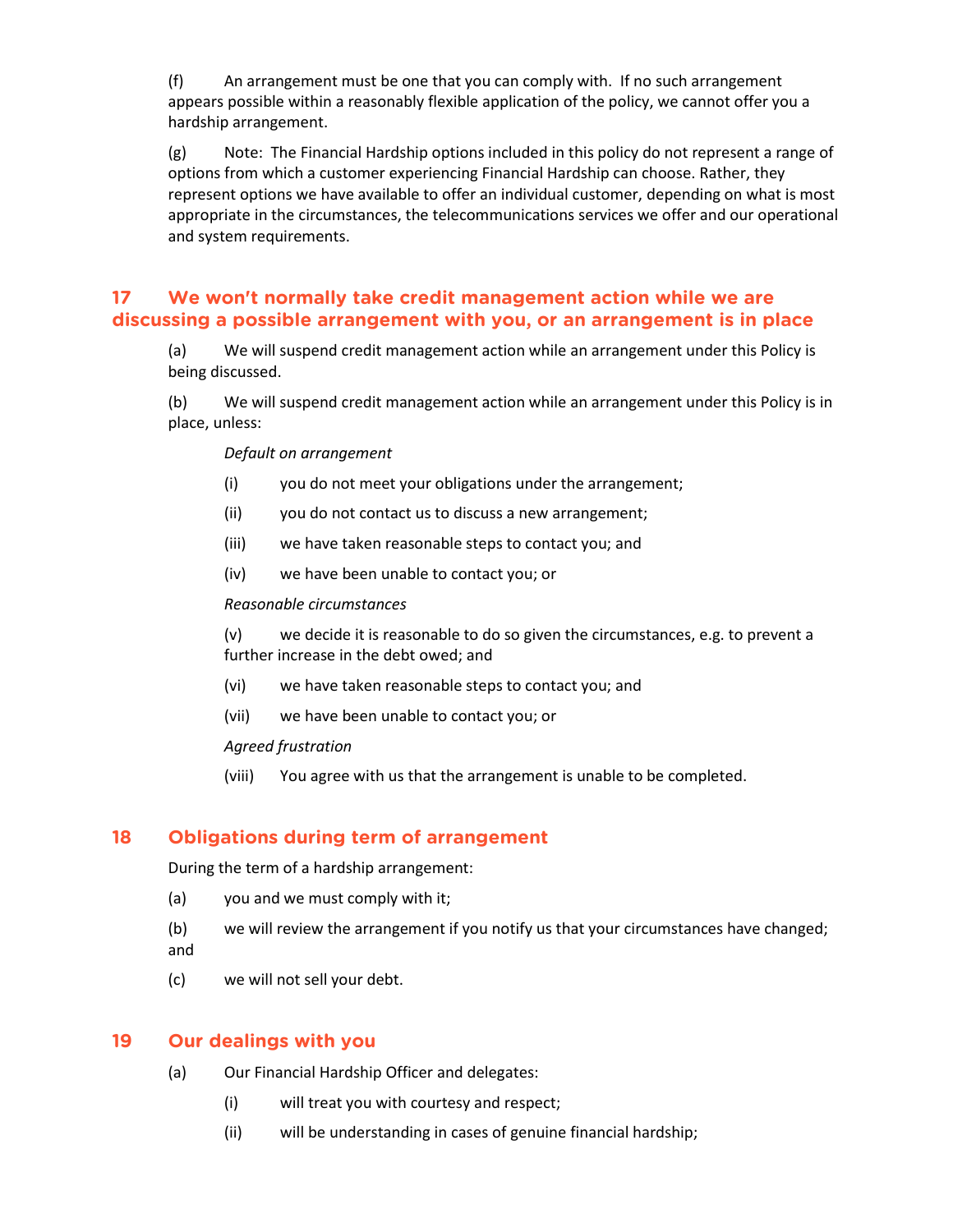(f) An arrangement must be one that you can comply with. If no such arrangement appears possible within a reasonably flexible application of the policy, we cannot offer you a hardship arrangement.

(g) Note: The Financial Hardship options included in this policy do not represent a range of options from which a customer experiencing Financial Hardship can choose. Rather, they represent options we have available to offer an individual customer, depending on what is most appropriate in the circumstances, the telecommunications services we offer and our operational and system requirements.

### **17 We won't normally take credit management action while we are discussing a possible arrangement with you, or an arrangement is in place**

(a) We will suspend credit management action while an arrangement under this Policy is being discussed.

(b) We will suspend credit management action while an arrangement under this Policy is in place, unless:

#### *Default on arrangement*

- (i) you do not meet your obligations under the arrangement;
- (ii) you do not contact us to discuss a new arrangement;
- (iii) we have taken reasonable steps to contact you; and
- (iv) we have been unable to contact you; or

#### *Reasonable circumstances*

(v) we decide it is reasonable to do so given the circumstances, e.g. to prevent a further increase in the debt owed; and

- (vi) we have taken reasonable steps to contact you; and
- (vii) we have been unable to contact you; or

#### *Agreed frustration*

(viii) You agree with us that the arrangement is unable to be completed.

### **18 Obligations during term of arrangement**

During the term of a hardship arrangement:

- (a) you and we must comply with it;
- (b) we will review the arrangement if you notify us that your circumstances have changed; and
- (c) we will not sell your debt.

#### **19 Our dealings with you**

- (a) Our Financial Hardship Officer and delegates:
	- (i) will treat you with courtesy and respect;
	- (ii) will be understanding in cases of genuine financial hardship;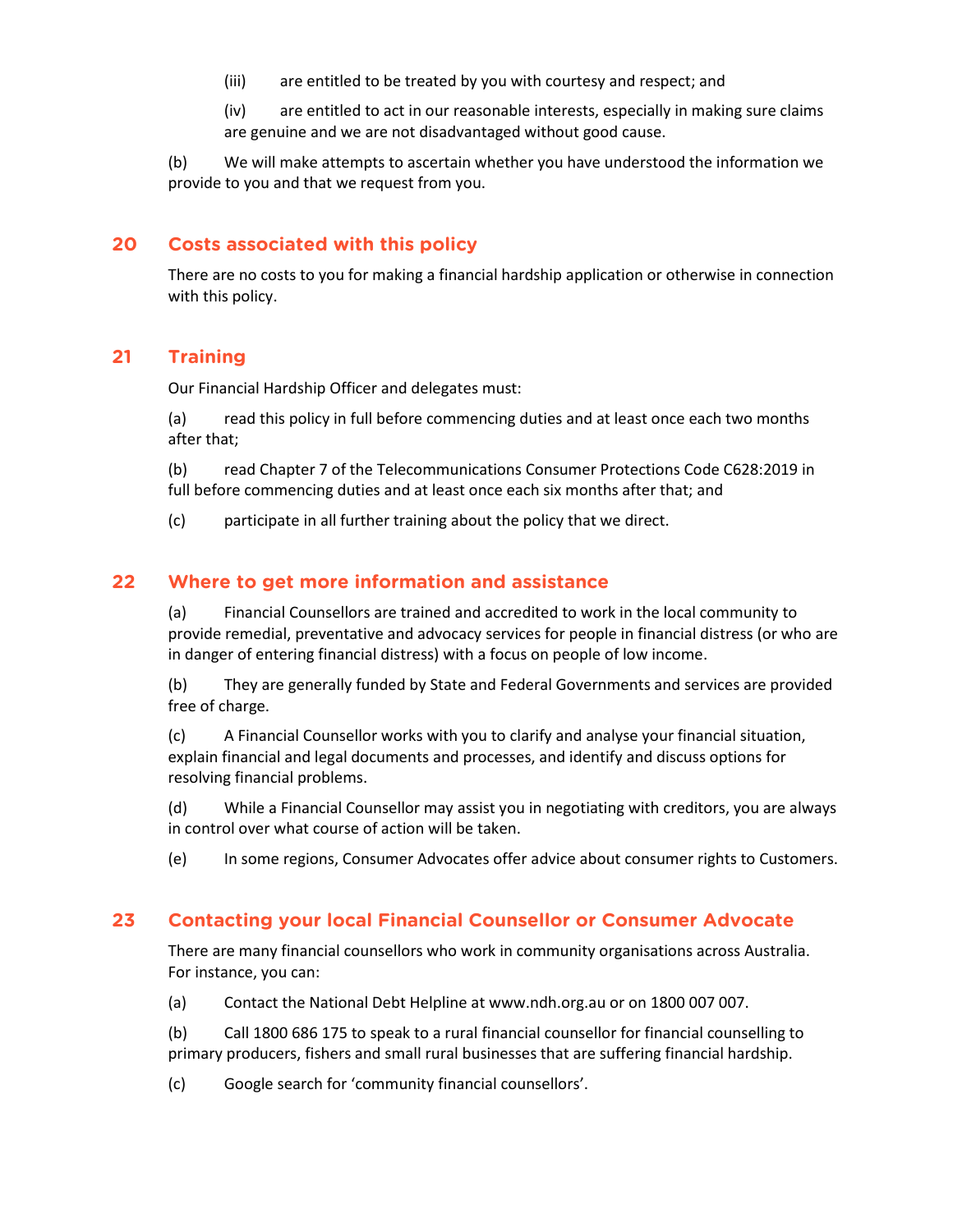(iii) are entitled to be treated by you with courtesy and respect; and

(iv) are entitled to act in our reasonable interests, especially in making sure claims are genuine and we are not disadvantaged without good cause.

(b) We will make attempts to ascertain whether you have understood the information we provide to you and that we request from you.

# **20 Costs associated with this policy**

There are no costs to you for making a financial hardship application or otherwise in connection with this policy.

# **21 Training**

Our Financial Hardship Officer and delegates must:

(a) read this policy in full before commencing duties and at least once each two months after that;

(b) read Chapter 7 of the Telecommunications Consumer Protections Code C628:2019 in full before commencing duties and at least once each six months after that; and

(c) participate in all further training about the policy that we direct.

# **22 Where to get more information and assistance**

(a) Financial Counsellors are trained and accredited to work in the local community to provide remedial, preventative and advocacy services for people in financial distress (or who are in danger of entering financial distress) with a focus on people of low income.

(b) They are generally funded by State and Federal Governments and services are provided free of charge.

(c) A Financial Counsellor works with you to clarify and analyse your financial situation, explain financial and legal documents and processes, and identify and discuss options for resolving financial problems.

(d) While a Financial Counsellor may assist you in negotiating with creditors, you are always in control over what course of action will be taken.

(e) In some regions, Consumer Advocates offer advice about consumer rights to Customers.

# **23 Contacting your local Financial Counsellor or Consumer Advocate**

There are many financial counsellors who work in community organisations across Australia. For instance, you can:

(a) Contact the National Debt Helpline at www.ndh.org.au or on 1800 007 007.

(b) Call 1800 686 175 to speak to a rural financial counsellor for financial counselling to primary producers, fishers and small rural businesses that are suffering financial hardship.

(c) Google search for 'community financial counsellors'.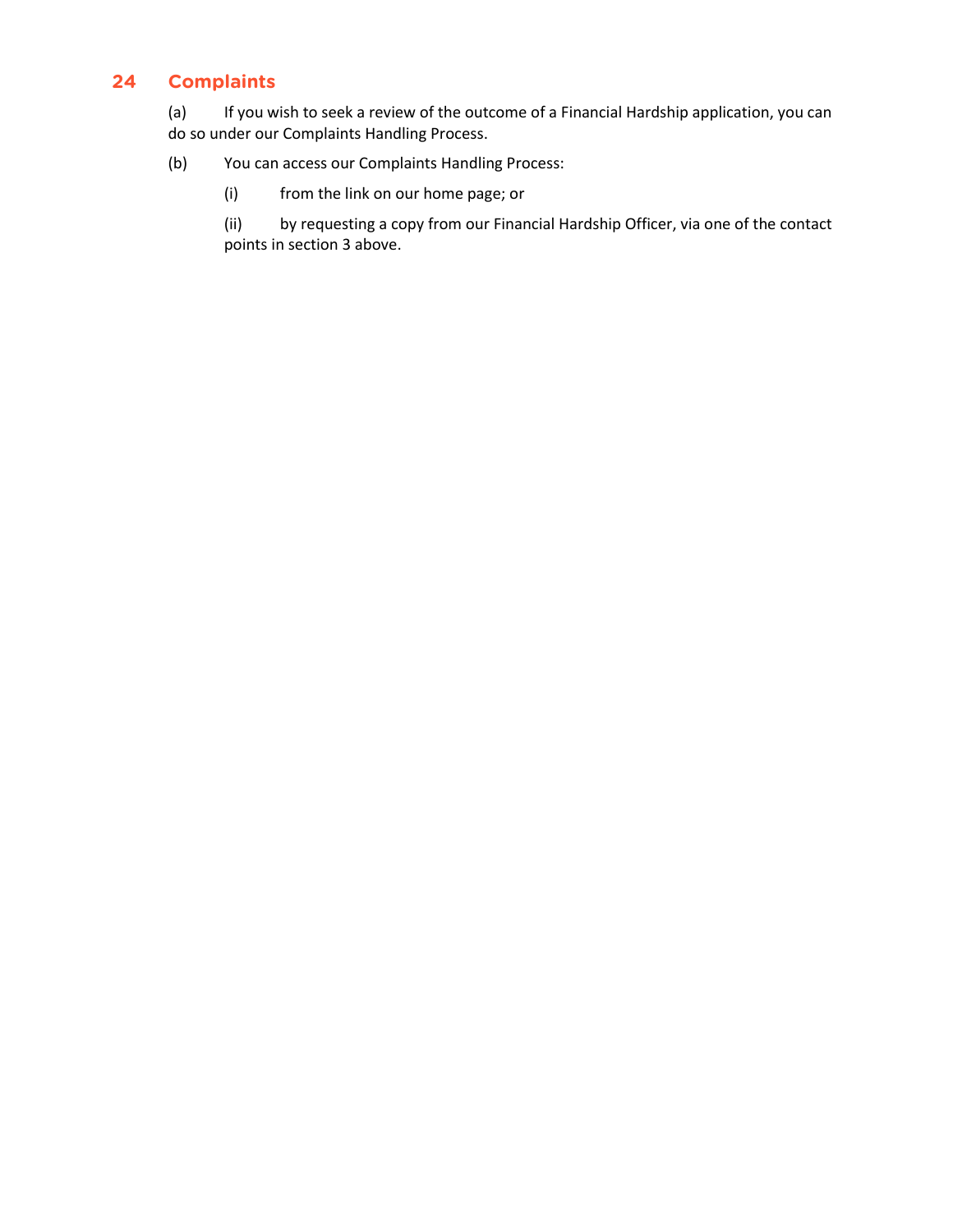# **24 Complaints**

(a) If you wish to seek a review of the outcome of a Financial Hardship application, you can do so under our Complaints Handling Process.

### (b) You can access our Complaints Handling Process:

(i) from the link on our home page; or

(ii) by requesting a copy from our Financial Hardship Officer, via one of the contact points in section 3 above.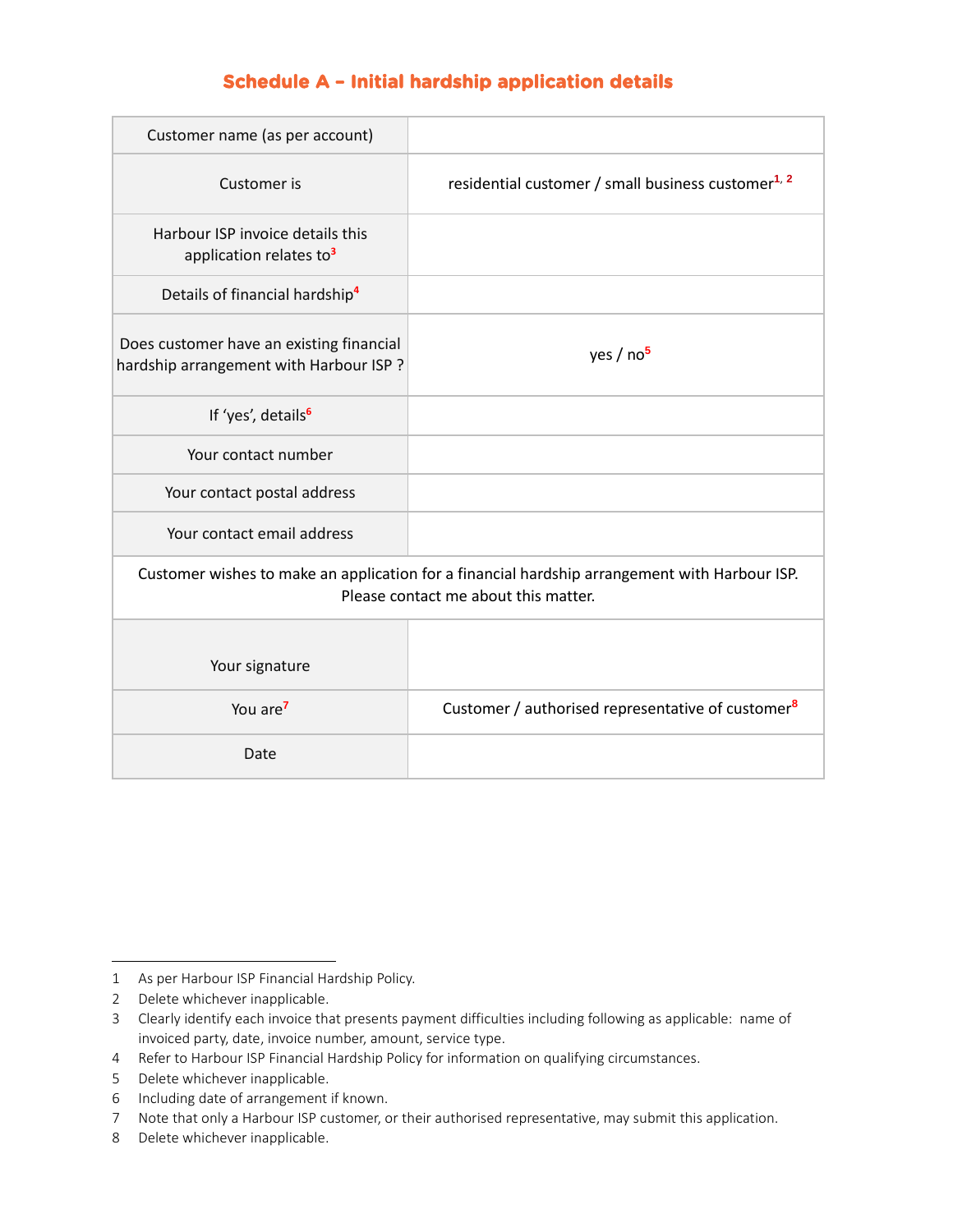# **Schedule A – Initial hardship application details**

| Customer name (as per account)                                                                                                        |                                                                |  |  |
|---------------------------------------------------------------------------------------------------------------------------------------|----------------------------------------------------------------|--|--|
| Customer is                                                                                                                           | residential customer / small business customer <sup>1, 2</sup> |  |  |
| Harbour ISP invoice details this<br>application relates to <sup>3</sup>                                                               |                                                                |  |  |
| Details of financial hardship <sup>4</sup>                                                                                            |                                                                |  |  |
| Does customer have an existing financial<br>hardship arrangement with Harbour ISP?                                                    | yes / no <sup>5</sup>                                          |  |  |
| If 'yes', details <sup>6</sup>                                                                                                        |                                                                |  |  |
| Your contact number                                                                                                                   |                                                                |  |  |
| Your contact postal address                                                                                                           |                                                                |  |  |
| Your contact email address                                                                                                            |                                                                |  |  |
| Customer wishes to make an application for a financial hardship arrangement with Harbour ISP.<br>Please contact me about this matter. |                                                                |  |  |
|                                                                                                                                       |                                                                |  |  |
| Your signature                                                                                                                        |                                                                |  |  |
| You are <sup>7</sup>                                                                                                                  | Customer / authorised representative of customer <sup>8</sup>  |  |  |
| Date                                                                                                                                  |                                                                |  |  |

<sup>1</sup> As per Harbour ISP Financial Hardship Policy.

<sup>2</sup> Delete whichever inapplicable.

<sup>3</sup> Clearly identify each invoice that presents payment difficulties including following as applicable: name of invoiced party, date, invoice number, amount, service type.

<sup>4</sup> Refer to Harbour ISP Financial Hardship Policy for information on qualifying circumstances.

<sup>5</sup> Delete whichever inapplicable.

<sup>6</sup> Including date of arrangement if known.

<sup>7</sup> Note that only a Harbour ISP customer, or their authorised representative, may submit this application.

<sup>8</sup> Delete whichever inapplicable.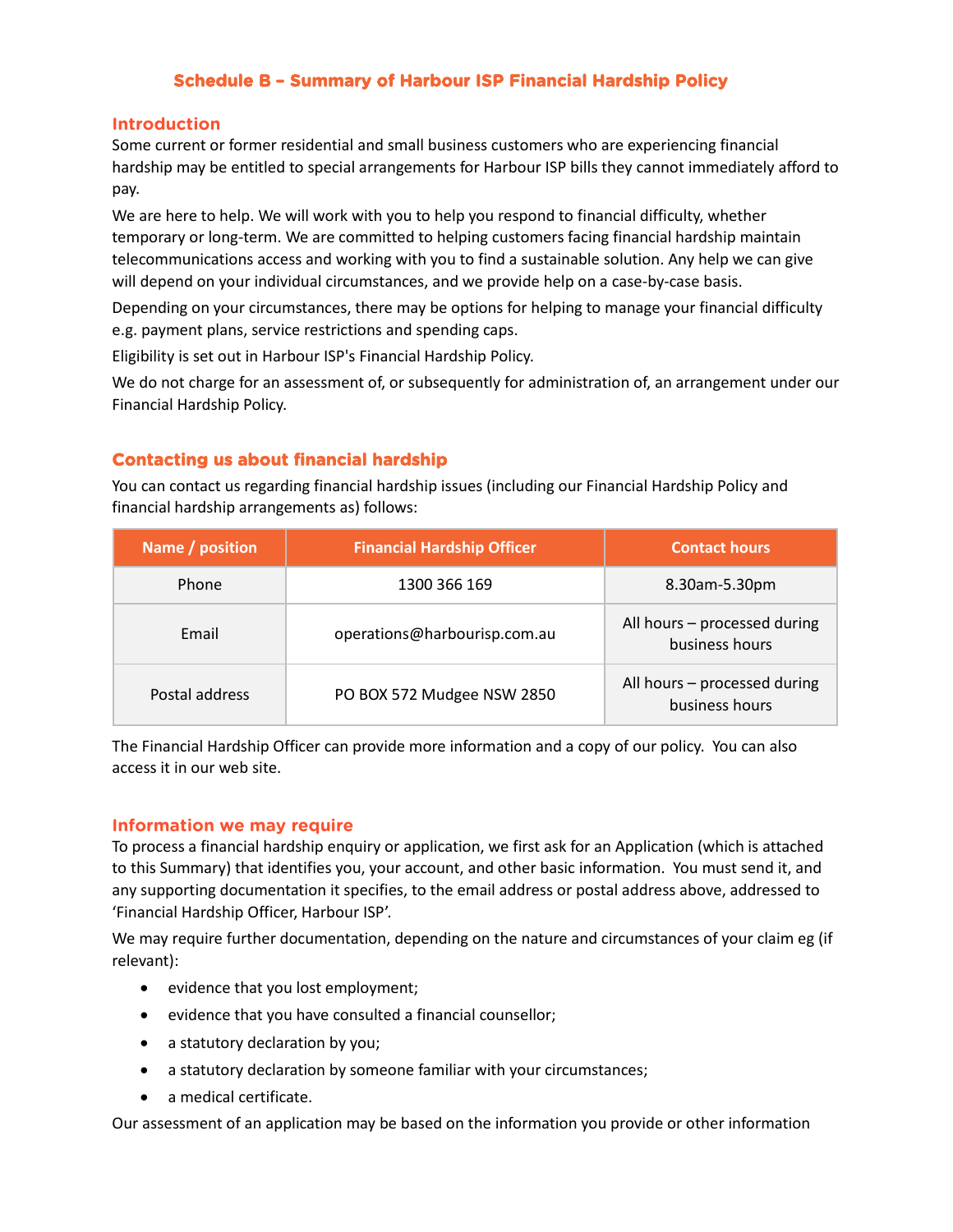### **Schedule B – Summary of Harbour ISP Financial Hardship Policy**

### **Introduction**

Some current or former residential and small business customers who are experiencing financial hardship may be entitled to special arrangements for Harbour ISP bills they cannot immediately afford to pay.

We are here to help. We will work with you to help you respond to financial difficulty, whether temporary or long-term. We are committed to helping customers facing financial hardship maintain telecommunications access and working with you to find a sustainable solution. Any help we can give will depend on your individual circumstances, and we provide help on a case-by-case basis.

Depending on your circumstances, there may be options for helping to manage your financial difficulty e.g. payment plans, service restrictions and spending caps.

Eligibility is set out in Harbour ISP's Financial Hardship Policy.

We do not charge for an assessment of, or subsequently for administration of, an arrangement under our Financial Hardship Policy.

### **Contacting us about financial hardship**

You can contact us regarding financial hardship issues (including our Financial Hardship Policy and financial hardship arrangements as) follows:

| Name / position | <b>Financial Hardship Officer</b> | <b>Contact hours</b>                           |
|-----------------|-----------------------------------|------------------------------------------------|
| Phone           | 1300 366 169                      | 8.30am-5.30pm                                  |
| Email           | operations@harbourisp.com.au      | All hours - processed during<br>business hours |
| Postal address  | PO BOX 572 Mudgee NSW 2850        | All hours - processed during<br>business hours |

The Financial Hardship Officer can provide more information and a copy of our policy. You can also access it in our web site.

### **Information we may require**

To process a financial hardship enquiry or application, we first ask for an Application (which is attached to this Summary) that identifies you, your account, and other basic information. You must send it, and any supporting documentation it specifies, to the email address or postal address above, addressed to 'Financial Hardship Officer, Harbour ISP'.

We may require further documentation, depending on the nature and circumstances of your claim eg (if relevant):

- evidence that you lost employment;
- evidence that you have consulted a financial counsellor;
- a statutory declaration by you;
- a statutory declaration by someone familiar with your circumstances;
- a medical certificate.

Our assessment of an application may be based on the information you provide or other information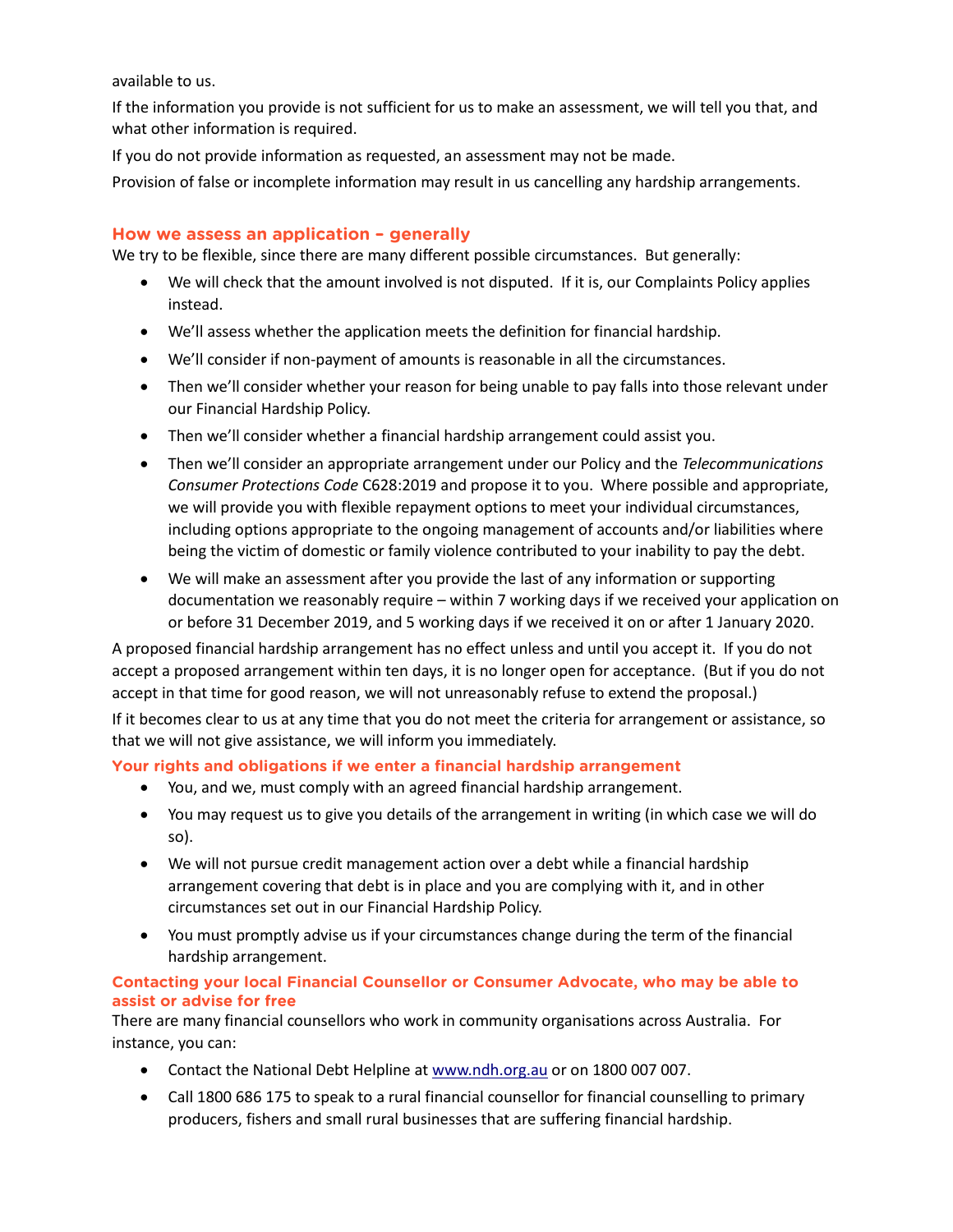available to us.

If the information you provide is not sufficient for us to make an assessment, we will tell you that, and what other information is required.

If you do not provide information as requested, an assessment may not be made.

Provision of false or incomplete information may result in us cancelling any hardship arrangements.

### **How we assess an application – generally**

We try to be flexible, since there are many different possible circumstances. But generally:

- We will check that the amount involved is not disputed. If it is, our Complaints Policy applies instead.
- We'll assess whether the application meets the definition for financial hardship.
- We'll consider if non-payment of amounts is reasonable in all the circumstances.
- Then we'll consider whether your reason for being unable to pay falls into those relevant under our Financial Hardship Policy.
- Then we'll consider whether a financial hardship arrangement could assist you.
- Then we'll consider an appropriate arrangement under our Policy and the *Telecommunications Consumer Protections Code* C628:2019 and propose it to you. Where possible and appropriate, we will provide you with flexible repayment options to meet your individual circumstances, including options appropriate to the ongoing management of accounts and/or liabilities where being the victim of domestic or family violence contributed to your inability to pay the debt.
- We will make an assessment after you provide the last of any information or supporting documentation we reasonably require – within 7 working days if we received your application on or before 31 December 2019, and 5 working days if we received it on or after 1 January 2020.

A proposed financial hardship arrangement has no effect unless and until you accept it. If you do not accept a proposed arrangement within ten days, it is no longer open for acceptance. (But if you do not accept in that time for good reason, we will not unreasonably refuse to extend the proposal.)

If it becomes clear to us at any time that you do not meet the criteria for arrangement or assistance, so that we will not give assistance, we will inform you immediately.

### **Your rights and obligations if we enter a financial hardship arrangement**

- You, and we, must comply with an agreed financial hardship arrangement.
- You may request us to give you details of the arrangement in writing (in which case we will do so).
- We will not pursue credit management action over a debt while a financial hardship arrangement covering that debt is in place and you are complying with it, and in other circumstances set out in our Financial Hardship Policy.
- You must promptly advise us if your circumstances change during the term of the financial hardship arrangement.

### **Contacting your local Financial Counsellor or Consumer Advocate, who may be able to assist or advise for free**

There are many financial counsellors who work in community organisations across Australia. For instance, you can:

- Contact the National Debt Helpline a[t www.ndh.org.au](http://www.ndh.org.au/) or on 1800 007 007.
- Call 1800 686 175 to speak to a rural financial counsellor for financial counselling to primary producers, fishers and small rural businesses that are suffering financial hardship.